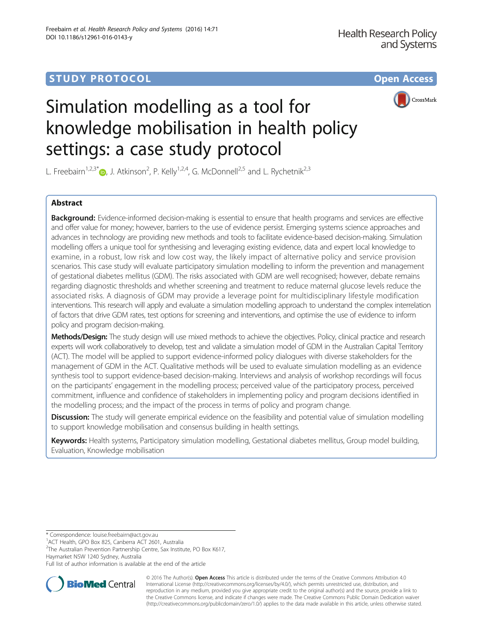## **STUDY PROTOCOL CONSUMING THE CONSUMING OPEN ACCESS**



# Simulation modelling as a tool for knowledge mobilisation in health policy settings: a case study protocol

L. Freebairn<sup>1,2,3[\\*](http://orcid.org/0000-0002-7434-870X)</sup> , J. Atkinson<sup>2</sup>, P. Kelly<sup>1,2,4</sup>, G. McDonnell<sup>2,5</sup> and L. Rychetnik<sup>2,3</sup>

## Abstract

Background: Evidence-informed decision-making is essential to ensure that health programs and services are effective and offer value for money; however, barriers to the use of evidence persist. Emerging systems science approaches and advances in technology are providing new methods and tools to facilitate evidence-based decision-making. Simulation modelling offers a unique tool for synthesising and leveraging existing evidence, data and expert local knowledge to examine, in a robust, low risk and low cost way, the likely impact of alternative policy and service provision scenarios. This case study will evaluate participatory simulation modelling to inform the prevention and management of gestational diabetes mellitus (GDM). The risks associated with GDM are well recognised; however, debate remains regarding diagnostic thresholds and whether screening and treatment to reduce maternal glucose levels reduce the associated risks. A diagnosis of GDM may provide a leverage point for multidisciplinary lifestyle modification interventions. This research will apply and evaluate a simulation modelling approach to understand the complex interrelation of factors that drive GDM rates, test options for screening and interventions, and optimise the use of evidence to inform policy and program decision-making.

Methods/Design: The study design will use mixed methods to achieve the objectives. Policy, clinical practice and research experts will work collaboratively to develop, test and validate a simulation model of GDM in the Australian Capital Territory (ACT). The model will be applied to support evidence-informed policy dialogues with diverse stakeholders for the management of GDM in the ACT. Qualitative methods will be used to evaluate simulation modelling as an evidence synthesis tool to support evidence-based decision-making. Interviews and analysis of workshop recordings will focus on the participants' engagement in the modelling process; perceived value of the participatory process, perceived commitment, influence and confidence of stakeholders in implementing policy and program decisions identified in the modelling process; and the impact of the process in terms of policy and program change.

Discussion: The study will generate empirical evidence on the feasibility and potential value of simulation modelling to support knowledge mobilisation and consensus building in health settings.

Keywords: Health systems, Participatory simulation modelling, Gestational diabetes mellitus, Group model building, Evaluation, Knowledge mobilisation

\* Correspondence: [louise.freebairn@act.gov.au](mailto:louise.freebairn@act.gov.au) <sup>1</sup>

<sup>1</sup> ACT Health, GPO Box 825, Canberra ACT 2601, Australia

<sup>2</sup>The Australian Prevention Partnership Centre, Sax Institute, PO Box K617, Haymarket NSW 1240 Sydney, Australia

Full list of author information is available at the end of the article



© 2016 The Author(s). Open Access This article is distributed under the terms of the Creative Commons Attribution 4.0 International License [\(http://creativecommons.org/licenses/by/4.0/](http://creativecommons.org/licenses/by/4.0/)), which permits unrestricted use, distribution, and reproduction in any medium, provided you give appropriate credit to the original author(s) and the source, provide a link to the Creative Commons license, and indicate if changes were made. The Creative Commons Public Domain Dedication waiver [\(http://creativecommons.org/publicdomain/zero/1.0/](http://creativecommons.org/publicdomain/zero/1.0/)) applies to the data made available in this article, unless otherwise stated.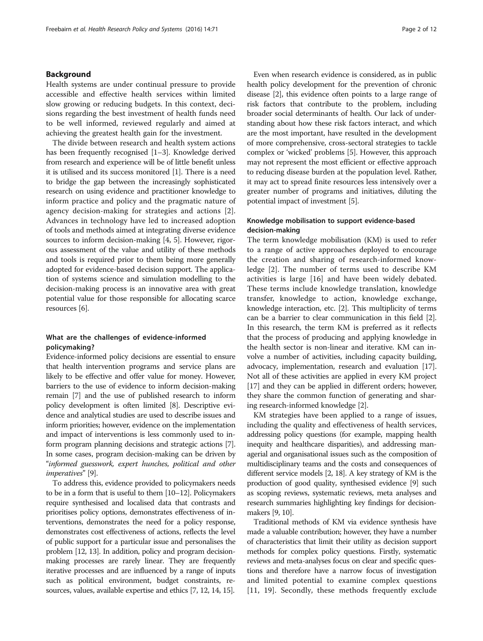## Background

Health systems are under continual pressure to provide accessible and effective health services within limited slow growing or reducing budgets. In this context, decisions regarding the best investment of health funds need to be well informed, reviewed regularly and aimed at achieving the greatest health gain for the investment.

The divide between research and health system actions has been frequently recognised [\[1](#page-10-0)–[3\]](#page-10-0). Knowledge derived from research and experience will be of little benefit unless it is utilised and its success monitored [\[1](#page-10-0)]. There is a need to bridge the gap between the increasingly sophisticated research on using evidence and practitioner knowledge to inform practice and policy and the pragmatic nature of agency decision-making for strategies and actions [\[2](#page-10-0)]. Advances in technology have led to increased adoption of tools and methods aimed at integrating diverse evidence sources to inform decision-making [\[4, 5\]](#page-10-0). However, rigorous assessment of the value and utility of these methods and tools is required prior to them being more generally adopted for evidence-based decision support. The application of systems science and simulation modelling to the decision-making process is an innovative area with great potential value for those responsible for allocating scarce resources [\[6\]](#page-10-0).

## What are the challenges of evidence-informed policymaking?

Evidence-informed policy decisions are essential to ensure that health intervention programs and service plans are likely to be effective and offer value for money. However, barriers to the use of evidence to inform decision-making remain [\[7\]](#page-10-0) and the use of published research to inform policy development is often limited [\[8\]](#page-10-0). Descriptive evidence and analytical studies are used to describe issues and inform priorities; however, evidence on the implementation and impact of interventions is less commonly used to inform program planning decisions and strategic actions [[7](#page-10-0)]. In some cases, program decision-making can be driven by "informed guesswork, expert hunches, political and other imperatives" [[9\]](#page-10-0).

To address this, evidence provided to policymakers needs to be in a form that is useful to them [[10](#page-10-0)–[12](#page-10-0)]. Policymakers require synthesised and localised data that contrasts and prioritises policy options, demonstrates effectiveness of interventions, demonstrates the need for a policy response, demonstrates cost effectiveness of actions, reflects the level of public support for a particular issue and personalises the problem [\[12, 13](#page-10-0)]. In addition, policy and program decisionmaking processes are rarely linear. They are frequently iterative processes and are influenced by a range of inputs such as political environment, budget constraints, resources, values, available expertise and ethics [[7](#page-10-0), [12](#page-10-0), [14](#page-10-0), [15](#page-10-0)].

Even when research evidence is considered, as in public health policy development for the prevention of chronic disease [\[2](#page-10-0)], this evidence often points to a large range of risk factors that contribute to the problem, including broader social determinants of health. Our lack of understanding about how these risk factors interact, and which are the most important, have resulted in the development of more comprehensive, cross-sectoral strategies to tackle complex or 'wicked' problems [\[5\]](#page-10-0). However, this approach may not represent the most efficient or effective approach to reducing disease burden at the population level. Rather, it may act to spread finite resources less intensively over a greater number of programs and initiatives, diluting the potential impact of investment [[5\]](#page-10-0).

## Knowledge mobilisation to support evidence-based decision-making

The term knowledge mobilisation (KM) is used to refer to a range of active approaches deployed to encourage the creation and sharing of research-informed knowledge [\[2](#page-10-0)]. The number of terms used to describe KM activities is large [[16\]](#page-10-0) and have been widely debated. These terms include knowledge translation, knowledge transfer, knowledge to action, knowledge exchange, knowledge interaction, etc. [\[2](#page-10-0)]. This multiplicity of terms can be a barrier to clear communication in this field [[2](#page-10-0)]. In this research, the term KM is preferred as it reflects that the process of producing and applying knowledge in the health sector is non-linear and iterative. KM can involve a number of activities, including capacity building, advocacy, implementation, research and evaluation [[17](#page-10-0)]. Not all of these activities are applied in every KM project [[17](#page-10-0)] and they can be applied in different orders; however, they share the common function of generating and sharing research-informed knowledge [\[2](#page-10-0)].

KM strategies have been applied to a range of issues, including the quality and effectiveness of health services, addressing policy questions (for example, mapping health inequity and healthcare disparities), and addressing managerial and organisational issues such as the composition of multidisciplinary teams and the costs and consequences of different service models [[2, 18\]](#page-10-0). A key strategy of KM is the production of good quality, synthesised evidence [[9](#page-10-0)] such as scoping reviews, systematic reviews, meta analyses and research summaries highlighting key findings for decisionmakers [[9](#page-10-0), [10](#page-10-0)].

Traditional methods of KM via evidence synthesis have made a valuable contribution; however, they have a number of characteristics that limit their utility as decision support methods for complex policy questions. Firstly, systematic reviews and meta-analyses focus on clear and specific questions and therefore have a narrow focus of investigation and limited potential to examine complex questions [[11, 19\]](#page-10-0). Secondly, these methods frequently exclude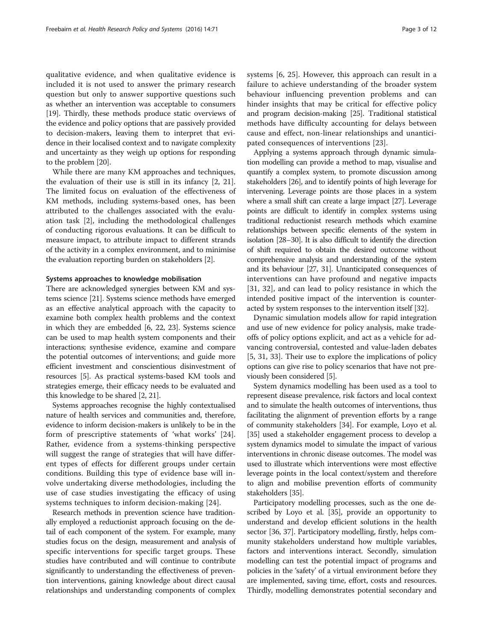qualitative evidence, and when qualitative evidence is included it is not used to answer the primary research question but only to answer supportive questions such as whether an intervention was acceptable to consumers [[19](#page-10-0)]. Thirdly, these methods produce static overviews of the evidence and policy options that are passively provided to decision-makers, leaving them to interpret that evidence in their localised context and to navigate complexity and uncertainty as they weigh up options for responding to the problem [\[20\]](#page-10-0).

While there are many KM approaches and techniques, the evaluation of their use is still in its infancy [\[2](#page-10-0), [21](#page-10-0)]. The limited focus on evaluation of the effectiveness of KM methods, including systems-based ones, has been attributed to the challenges associated with the evaluation task [\[2](#page-10-0)], including the methodological challenges of conducting rigorous evaluations. It can be difficult to measure impact, to attribute impact to different strands of the activity in a complex environment, and to minimise the evaluation reporting burden on stakeholders [\[2\]](#page-10-0).

#### Systems approaches to knowledge mobilisation

There are acknowledged synergies between KM and systems science [\[21](#page-10-0)]. Systems science methods have emerged as an effective analytical approach with the capacity to examine both complex health problems and the context in which they are embedded [\[6, 22](#page-10-0), [23\]](#page-10-0). Systems science can be used to map health system components and their interactions; synthesise evidence, examine and compare the potential outcomes of interventions; and guide more efficient investment and conscientious disinvestment of resources [\[5\]](#page-10-0). As practical systems-based KM tools and strategies emerge, their efficacy needs to be evaluated and this knowledge to be shared [[2, 21](#page-10-0)].

Systems approaches recognise the highly contextualised nature of health services and communities and, therefore, evidence to inform decision-makers is unlikely to be in the form of prescriptive statements of 'what works' [\[24](#page-10-0)]. Rather, evidence from a systems-thinking perspective will suggest the range of strategies that will have different types of effects for different groups under certain conditions. Building this type of evidence base will involve undertaking diverse methodologies, including the use of case studies investigating the efficacy of using systems techniques to inform decision-making [\[24](#page-10-0)].

Research methods in prevention science have traditionally employed a reductionist approach focusing on the detail of each component of the system. For example, many studies focus on the design, measurement and analysis of specific interventions for specific target groups. These studies have contributed and will continue to contribute significantly to understanding the effectiveness of prevention interventions, gaining knowledge about direct causal relationships and understanding components of complex systems [[6, 25\]](#page-10-0). However, this approach can result in a failure to achieve understanding of the broader system behaviour influencing prevention problems and can hinder insights that may be critical for effective policy and program decision-making [\[25](#page-10-0)]. Traditional statistical methods have difficulty accounting for delays between cause and effect, non-linear relationships and unanticipated consequences of interventions [[23\]](#page-10-0).

Applying a systems approach through dynamic simulation modelling can provide a method to map, visualise and quantify a complex system, to promote discussion among stakeholders [\[26](#page-10-0)], and to identify points of high leverage for intervening. Leverage points are those places in a system where a small shift can create a large impact [\[27\]](#page-10-0). Leverage points are difficult to identify in complex systems using traditional reductionist research methods which examine relationships between specific elements of the system in isolation [[28](#page-10-0)–[30](#page-10-0)]. It is also difficult to identify the direction of shift required to obtain the desired outcome without comprehensive analysis and understanding of the system and its behaviour [\[27, 31\]](#page-10-0). Unanticipated consequences of interventions can have profound and negative impacts [[31, 32\]](#page-10-0), and can lead to policy resistance in which the intended positive impact of the intervention is counteracted by system responses to the intervention itself [\[32\]](#page-10-0).

Dynamic simulation models allow for rapid integration and use of new evidence for policy analysis, make tradeoffs of policy options explicit, and act as a vehicle for advancing controversial, contested and value-laden debates [[5, 31](#page-10-0), [33](#page-10-0)]. Their use to explore the implications of policy options can give rise to policy scenarios that have not previously been considered [[5](#page-10-0)].

System dynamics modelling has been used as a tool to represent disease prevalence, risk factors and local context and to simulate the health outcomes of interventions, thus facilitating the alignment of prevention efforts by a range of community stakeholders [\[34](#page-10-0)]. For example, Loyo et al. [[35](#page-10-0)] used a stakeholder engagement process to develop a system dynamics model to simulate the impact of various interventions in chronic disease outcomes. The model was used to illustrate which interventions were most effective leverage points in the local context/system and therefore to align and mobilise prevention efforts of community stakeholders [\[35\]](#page-10-0).

Participatory modelling processes, such as the one described by Loyo et al. [[35](#page-10-0)], provide an opportunity to understand and develop efficient solutions in the health sector [[36,](#page-10-0) [37](#page-11-0)]. Participatory modelling, firstly, helps community stakeholders understand how multiple variables, factors and interventions interact. Secondly, simulation modelling can test the potential impact of programs and policies in the 'safety' of a virtual environment before they are implemented, saving time, effort, costs and resources. Thirdly, modelling demonstrates potential secondary and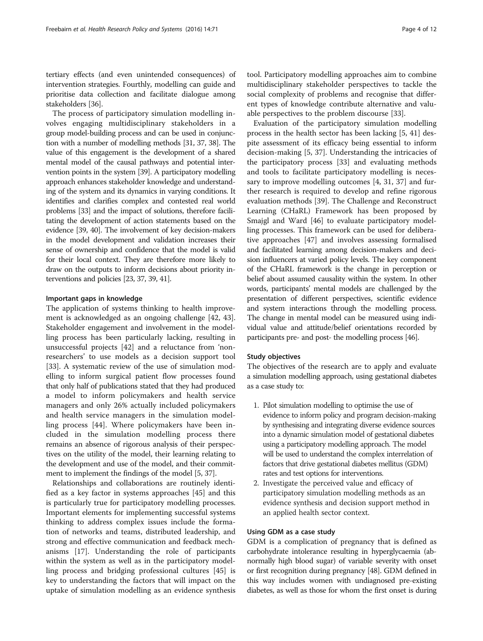tertiary effects (and even unintended consequences) of intervention strategies. Fourthly, modelling can guide and prioritise data collection and facilitate dialogue among stakeholders [\[36\]](#page-10-0).

The process of participatory simulation modelling involves engaging multidisciplinary stakeholders in a group model-building process and can be used in conjunction with a number of modelling methods [[31](#page-10-0), [37, 38\]](#page-11-0). The value of this engagement is the development of a shared mental model of the causal pathways and potential intervention points in the system [\[39](#page-11-0)]. A participatory modelling approach enhances stakeholder knowledge and understanding of the system and its dynamics in varying conditions. It identifies and clarifies complex and contested real world problems [\[33\]](#page-10-0) and the impact of solutions, therefore facilitating the development of action statements based on the evidence [\[39](#page-11-0), [40\]](#page-11-0). The involvement of key decision-makers in the model development and validation increases their sense of ownership and confidence that the model is valid for their local context. They are therefore more likely to draw on the outputs to inform decisions about priority interventions and policies [\[23](#page-10-0), [37](#page-11-0), [39](#page-11-0), [41\]](#page-11-0).

## Important gaps in knowledge

The application of systems thinking to health improvement is acknowledged as an ongoing challenge [[42, 43](#page-11-0)]. Stakeholder engagement and involvement in the modelling process has been particularly lacking, resulting in unsuccessful projects [[42](#page-11-0)] and a reluctance from 'nonresearchers' to use models as a decision support tool [[33\]](#page-10-0). A systematic review of the use of simulation modelling to inform surgical patient flow processes found that only half of publications stated that they had produced a model to inform policymakers and health service managers and only 26% actually included policymakers and health service managers in the simulation modelling process [[44\]](#page-11-0). Where policymakers have been included in the simulation modelling process there remains an absence of rigorous analysis of their perspectives on the utility of the model, their learning relating to the development and use of the model, and their commitment to implement the findings of the model [\[5,](#page-10-0) [37](#page-11-0)].

Relationships and collaborations are routinely identified as a key factor in systems approaches [\[45](#page-11-0)] and this is particularly true for participatory modelling processes. Important elements for implementing successful systems thinking to address complex issues include the formation of networks and teams, distributed leadership, and strong and effective communication and feedback mechanisms [[17\]](#page-10-0). Understanding the role of participants within the system as well as in the participatory modelling process and bridging professional cultures [\[45\]](#page-11-0) is key to understanding the factors that will impact on the uptake of simulation modelling as an evidence synthesis

tool. Participatory modelling approaches aim to combine multidisciplinary stakeholder perspectives to tackle the social complexity of problems and recognise that different types of knowledge contribute alternative and valuable perspectives to the problem discourse [\[33](#page-10-0)].

Evaluation of the participatory simulation modelling process in the health sector has been lacking [\[5](#page-10-0), [41](#page-11-0)] despite assessment of its efficacy being essential to inform decision-making [\[5](#page-10-0), [37](#page-11-0)]. Understanding the intricacies of the participatory process [\[33](#page-10-0)] and evaluating methods and tools to facilitate participatory modelling is neces-sary to improve modelling outcomes [[4, 31](#page-10-0), [37](#page-11-0)] and further research is required to develop and refine rigorous evaluation methods [[39\]](#page-11-0). The Challenge and Reconstruct Learning (CHaRL) Framework has been proposed by Smajgl and Ward [\[46\]](#page-11-0) to evaluate participatory modelling processes. This framework can be used for deliberative approaches [\[47](#page-11-0)] and involves assessing formalised and facilitated learning among decision-makers and decision influencers at varied policy levels. The key component of the CHaRL framework is the change in perception or belief about assumed causality within the system. In other words, participants' mental models are challenged by the presentation of different perspectives, scientific evidence and system interactions through the modelling process. The change in mental model can be measured using individual value and attitude/belief orientations recorded by participants pre- and post- the modelling process [[46](#page-11-0)].

## Study objectives

The objectives of the research are to apply and evaluate a simulation modelling approach, using gestational diabetes as a case study to:

- 1. Pilot simulation modelling to optimise the use of evidence to inform policy and program decision-making by synthesising and integrating diverse evidence sources into a dynamic simulation model of gestational diabetes using a participatory modelling approach. The model will be used to understand the complex interrelation of factors that drive gestational diabetes mellitus (GDM) rates and test options for interventions.
- 2. Investigate the perceived value and efficacy of participatory simulation modelling methods as an evidence synthesis and decision support method in an applied health sector context.

## Using GDM as a case study

GDM is a complication of pregnancy that is defined as carbohydrate intolerance resulting in hyperglycaemia (abnormally high blood sugar) of variable severity with onset or first recognition during pregnancy [\[48\]](#page-11-0). GDM defined in this way includes women with undiagnosed pre-existing diabetes, as well as those for whom the first onset is during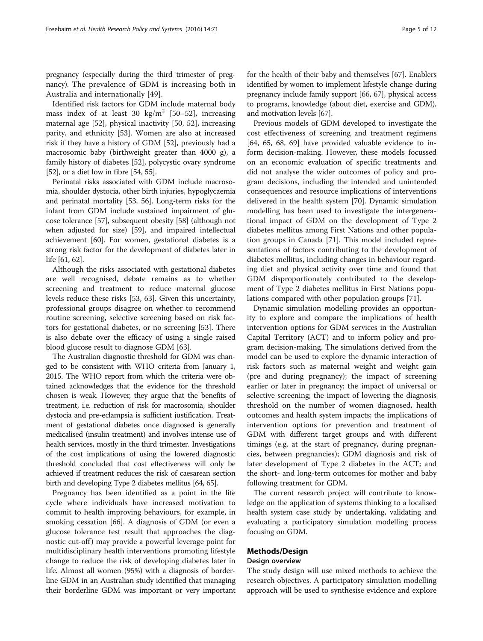pregnancy (especially during the third trimester of pregnancy). The prevalence of GDM is increasing both in Australia and internationally [[49](#page-11-0)].

Identified risk factors for GDM include maternal body mass index of at least 30 kg/m<sup>2</sup> [\[50](#page-11-0)–[52\]](#page-11-0), increasing maternal age [[52](#page-11-0)], physical inactivity [\[50, 52](#page-11-0)], increasing parity, and ethnicity [[53\]](#page-11-0). Women are also at increased risk if they have a history of GDM [\[52\]](#page-11-0), previously had a macrosomic baby (birthweight greater than 4000 g), a family history of diabetes [\[52\]](#page-11-0), polycystic ovary syndrome [[52](#page-11-0)], or a diet low in fibre [\[54, 55](#page-11-0)].

Perinatal risks associated with GDM include macrosomia, shoulder dystocia, other birth injuries, hypoglycaemia and perinatal mortality [\[53, 56\]](#page-11-0). Long-term risks for the infant from GDM include sustained impairment of glucose tolerance [\[57\]](#page-11-0), subsequent obesity [\[58\]](#page-11-0) (although not when adjusted for size) [\[59\]](#page-11-0), and impaired intellectual achievement [\[60\]](#page-11-0). For women, gestational diabetes is a strong risk factor for the development of diabetes later in life [\[61](#page-11-0), [62](#page-11-0)].

Although the risks associated with gestational diabetes are well recognised, debate remains as to whether screening and treatment to reduce maternal glucose levels reduce these risks [[53, 63\]](#page-11-0). Given this uncertainty, professional groups disagree on whether to recommend routine screening, selective screening based on risk factors for gestational diabetes, or no screening [[53\]](#page-11-0). There is also debate over the efficacy of using a single raised blood glucose result to diagnose GDM [\[63\]](#page-11-0).

The Australian diagnostic threshold for GDM was changed to be consistent with WHO criteria from January 1, 2015. The WHO report from which the criteria were obtained acknowledges that the evidence for the threshold chosen is weak. However, they argue that the benefits of treatment, i.e. reduction of risk for macrosomia, shoulder dystocia and pre-eclampsia is sufficient justification. Treatment of gestational diabetes once diagnosed is generally medicalised (insulin treatment) and involves intense use of health services, mostly in the third trimester. Investigations of the cost implications of using the lowered diagnostic threshold concluded that cost effectiveness will only be achieved if treatment reduces the risk of caesarean section birth and developing Type 2 diabetes mellitus [[64](#page-11-0), [65](#page-11-0)].

Pregnancy has been identified as a point in the life cycle where individuals have increased motivation to commit to health improving behaviours, for example, in smoking cessation [[66\]](#page-11-0). A diagnosis of GDM (or even a glucose tolerance test result that approaches the diagnostic cut-off) may provide a powerful leverage point for multidisciplinary health interventions promoting lifestyle change to reduce the risk of developing diabetes later in life. Almost all women (95%) with a diagnosis of borderline GDM in an Australian study identified that managing their borderline GDM was important or very important for the health of their baby and themselves [\[67\]](#page-11-0). Enablers identified by women to implement lifestyle change during pregnancy include family support [\[66, 67\]](#page-11-0), physical access to programs, knowledge (about diet, exercise and GDM), and motivation levels [[67](#page-11-0)].

Previous models of GDM developed to investigate the cost effectiveness of screening and treatment regimens [[64, 65, 68](#page-11-0), [69\]](#page-11-0) have provided valuable evidence to inform decision-making. However, these models focussed on an economic evaluation of specific treatments and did not analyse the wider outcomes of policy and program decisions, including the intended and unintended consequences and resource implications of interventions delivered in the health system [[70](#page-11-0)]. Dynamic simulation modelling has been used to investigate the intergenerational impact of GDM on the development of Type 2 diabetes mellitus among First Nations and other population groups in Canada [\[71\]](#page-11-0). This model included representations of factors contributing to the development of diabetes mellitus, including changes in behaviour regarding diet and physical activity over time and found that GDM disproportionately contributed to the development of Type 2 diabetes mellitus in First Nations populations compared with other population groups [[71](#page-11-0)].

Dynamic simulation modelling provides an opportunity to explore and compare the implications of health intervention options for GDM services in the Australian Capital Territory (ACT) and to inform policy and program decision-making. The simulations derived from the model can be used to explore the dynamic interaction of risk factors such as maternal weight and weight gain (pre and during pregnancy); the impact of screening earlier or later in pregnancy; the impact of universal or selective screening; the impact of lowering the diagnosis threshold on the number of women diagnosed, health outcomes and health system impacts; the implications of intervention options for prevention and treatment of GDM with different target groups and with different timings (e.g. at the start of pregnancy, during pregnancies, between pregnancies); GDM diagnosis and risk of later development of Type 2 diabetes in the ACT; and the short- and long-term outcomes for mother and baby following treatment for GDM.

The current research project will contribute to knowledge on the application of systems thinking to a localised health system case study by undertaking, validating and evaluating a participatory simulation modelling process focusing on GDM.

## Methods/Design

## Design overview

The study design will use mixed methods to achieve the research objectives. A participatory simulation modelling approach will be used to synthesise evidence and explore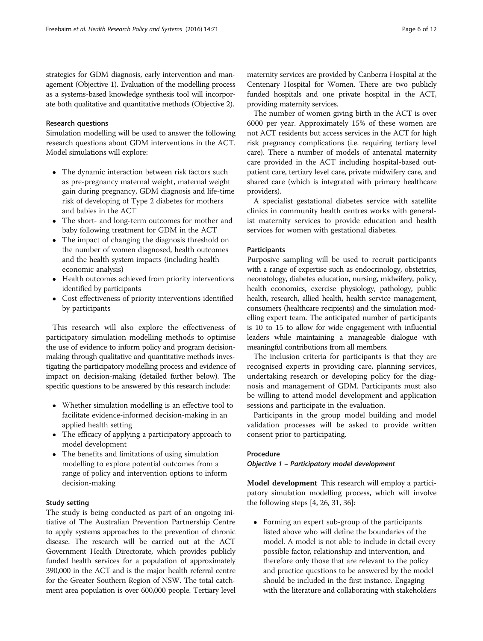strategies for GDM diagnosis, early intervention and management (Objective 1). Evaluation of the modelling process as a systems-based knowledge synthesis tool will incorporate both qualitative and quantitative methods (Objective 2).

## Research questions

Simulation modelling will be used to answer the following research questions about GDM interventions in the ACT. Model simulations will explore:

- The dynamic interaction between risk factors such as pre-pregnancy maternal weight, maternal weight gain during pregnancy, GDM diagnosis and life-time risk of developing of Type 2 diabetes for mothers and babies in the ACT
- The short- and long-term outcomes for mother and baby following treatment for GDM in the ACT
- The impact of changing the diagnosis threshold on the number of women diagnosed, health outcomes and the health system impacts (including health economic analysis)
- Health outcomes achieved from priority interventions identified by participants
- Cost effectiveness of priority interventions identified by participants

This research will also explore the effectiveness of participatory simulation modelling methods to optimise the use of evidence to inform policy and program decisionmaking through qualitative and quantitative methods investigating the participatory modelling process and evidence of impact on decision-making (detailed further below). The specific questions to be answered by this research include:

- Whether simulation modelling is an effective tool to facilitate evidence-informed decision-making in an applied health setting
- The efficacy of applying a participatory approach to model development
- The benefits and limitations of using simulation modelling to explore potential outcomes from a range of policy and intervention options to inform decision-making

## Study setting

The study is being conducted as part of an ongoing initiative of The Australian Prevention Partnership Centre to apply systems approaches to the prevention of chronic disease. The research will be carried out at the ACT Government Health Directorate, which provides publicly funded health services for a population of approximately 390,000 in the ACT and is the major health referral centre for the Greater Southern Region of NSW. The total catchment area population is over 600,000 people. Tertiary level maternity services are provided by Canberra Hospital at the Centenary Hospital for Women. There are two publicly funded hospitals and one private hospital in the ACT, providing maternity services.

The number of women giving birth in the ACT is over 6000 per year. Approximately 15% of these women are not ACT residents but access services in the ACT for high risk pregnancy complications (i.e. requiring tertiary level care). There a number of models of antenatal maternity care provided in the ACT including hospital-based outpatient care, tertiary level care, private midwifery care, and shared care (which is integrated with primary healthcare providers).

A specialist gestational diabetes service with satellite clinics in community health centres works with generalist maternity services to provide education and health services for women with gestational diabetes.

## Participants

Purposive sampling will be used to recruit participants with a range of expertise such as endocrinology, obstetrics, neonatology, diabetes education, nursing, midwifery, policy, health economics, exercise physiology, pathology, public health, research, allied health, health service management, consumers (healthcare recipients) and the simulation modelling expert team. The anticipated number of participants is 10 to 15 to allow for wide engagement with influential leaders while maintaining a manageable dialogue with meaningful contributions from all members.

The inclusion criteria for participants is that they are recognised experts in providing care, planning services, undertaking research or developing policy for the diagnosis and management of GDM. Participants must also be willing to attend model development and application sessions and participate in the evaluation.

Participants in the group model building and model validation processes will be asked to provide written consent prior to participating.

## Procedure

## Objective 1 – Participatory model development

Model development This research will employ a participatory simulation modelling process, which will involve the following steps [\[4](#page-10-0), [26](#page-10-0), [31, 36](#page-10-0)]:

 Forming an expert sub-group of the participants listed above who will define the boundaries of the model. A model is not able to include in detail every possible factor, relationship and intervention, and therefore only those that are relevant to the policy and practice questions to be answered by the model should be included in the first instance. Engaging with the literature and collaborating with stakeholders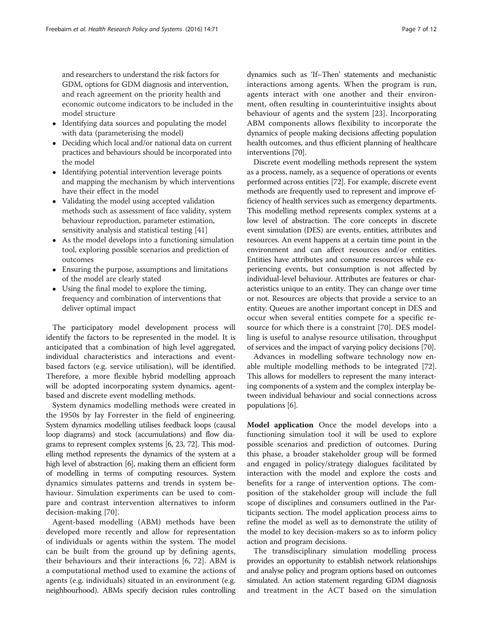and researchers to understand the risk factors for GDM, options for GDM diagnosis and intervention, and reach agreement on the priority health and economic outcome indicators to be included in the model structure

- Identifying data sources and populating the model with data (parameterising the model)
- Deciding which local and/or national data on current practices and behaviours should be incorporated into the model
- Identifying potential intervention leverage points and mapping the mechanism by which interventions have their effect in the model
- Validating the model using accepted validation methods such as assessment of face validity, system behaviour reproduction, parameter estimation, sensitivity analysis and statistical testing [\[41\]](#page-11-0)
- As the model develops into a functioning simulation tool, exploring possible scenarios and prediction of outcomes
- Ensuring the purpose, assumptions and limitations of the model are clearly stated
- Using the final model to explore the timing, frequency and combination of interventions that deliver optimal impact

The participatory model development process will identify the factors to be represented in the model. It is anticipated that a combination of high level aggregated, individual characteristics and interactions and eventbased factors (e.g. service utilisation), will be identified. Therefore, a more flexible hybrid modelling approach will be adopted incorporating system dynamics, agentbased and discrete event modelling methods.

System dynamics modelling methods were created in the 1950s by Jay Forrester in the field of engineering. System dynamics modelling utilises feedback loops (causal loop diagrams) and stock (accumulations) and flow diagrams to represent complex systems [[6, 23](#page-10-0), [72\]](#page-11-0). This modelling method represents the dynamics of the system at a high level of abstraction [\[6\]](#page-10-0), making them an efficient form of modelling in terms of computing resources. System dynamics simulates patterns and trends in system behaviour. Simulation experiments can be used to compare and contrast intervention alternatives to inform decision-making [[70\]](#page-11-0).

Agent-based modelling (ABM) methods have been developed more recently and allow for representation of individuals or agents within the system. The model can be built from the ground up by defining agents, their behaviours and their interactions [[6,](#page-10-0) [72\]](#page-11-0). ABM is a computational method used to examine the actions of agents (e.g. individuals) situated in an environment (e.g. neighbourhood). ABMs specify decision rules controlling

dynamics such as 'If–Then' statements and mechanistic interactions among agents. When the program is run, agents interact with one another and their environment, often resulting in counterintuitive insights about behaviour of agents and the system [\[23](#page-10-0)]. Incorporating ABM components allows flexibility to incorporate the dynamics of people making decisions affecting population health outcomes, and thus efficient planning of healthcare interventions [\[70\]](#page-11-0).

Discrete event modelling methods represent the system as a process, namely, as a sequence of operations or events performed across entities [\[72\]](#page-11-0). For example, discrete event methods are frequently used to represent and improve efficiency of health services such as emergency departments. This modelling method represents complex systems at a low level of abstraction. The core concepts in discrete event simulation (DES) are events, entities, attributes and resources. An event happens at a certain time point in the environment and can affect resources and/or entities. Entities have attributes and consume resources while experiencing events, but consumption is not affected by individual-level behaviour. Attributes are features or characteristics unique to an entity. They can change over time or not. Resources are objects that provide a service to an entity. Queues are another important concept in DES and occur when several entities compete for a specific resource for which there is a constraint [[70](#page-11-0)]. DES modelling is useful to analyse resource utilisation, throughput of services and the impact of varying policy decisions [[70](#page-11-0)].

Advances in modelling software technology now enable multiple modelling methods to be integrated [\[72](#page-11-0)]. This allows for modellers to represent the many interacting components of a system and the complex interplay between individual behaviour and social connections across populations [\[6](#page-10-0)].

Model application Once the model develops into a functioning simulation tool it will be used to explore possible scenarios and prediction of outcomes. During this phase, a broader stakeholder group will be formed and engaged in policy/strategy dialogues facilitated by interaction with the model and explore the costs and benefits for a range of intervention options. The composition of the stakeholder group will include the full scope of disciplines and consumers outlined in the Participants section. The model application process aims to refine the model as well as to demonstrate the utility of the model to key decision-makers so as to inform policy action and program decisions.

The transdisciplinary simulation modelling process provides an opportunity to establish network relationships and analyse policy and program options based on outcomes simulated. An action statement regarding GDM diagnosis and treatment in the ACT based on the simulation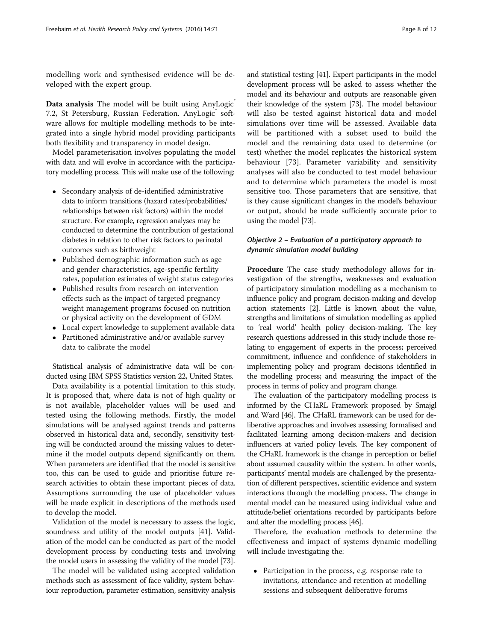modelling work and synthesised evidence will be developed with the expert group.

Data analysis The model will be built using AnyLogic 7.2, St Petersburg, Russian Federation. AnyLogic software allows for multiple modelling methods to be integrated into a single hybrid model providing participants both flexibility and transparency in model design.

Model parameterisation involves populating the model with data and will evolve in accordance with the participatory modelling process. This will make use of the following:

- Secondary analysis of de-identified administrative data to inform transitions (hazard rates/probabilities/ relationships between risk factors) within the model structure. For example, regression analyses may be conducted to determine the contribution of gestational diabetes in relation to other risk factors to perinatal outcomes such as birthweight
- Published demographic information such as age and gender characteristics, age-specific fertility rates, population estimates of weight status categories
- Published results from research on intervention effects such as the impact of targeted pregnancy weight management programs focused on nutrition or physical activity on the development of GDM
- Local expert knowledge to supplement available data
- Partitioned administrative and/or available survey data to calibrate the model

Statistical analysis of administrative data will be conducted using IBM SPSS Statistics version 22, United States.

Data availability is a potential limitation to this study. It is proposed that, where data is not of high quality or is not available, placeholder values will be used and tested using the following methods. Firstly, the model simulations will be analysed against trends and patterns observed in historical data and, secondly, sensitivity testing will be conducted around the missing values to determine if the model outputs depend significantly on them. When parameters are identified that the model is sensitive too, this can be used to guide and prioritise future research activities to obtain these important pieces of data. Assumptions surrounding the use of placeholder values will be made explicit in descriptions of the methods used to develop the model.

Validation of the model is necessary to assess the logic, soundness and utility of the model outputs [\[41\]](#page-11-0). Validation of the model can be conducted as part of the model development process by conducting tests and involving the model users in assessing the validity of the model [[73](#page-11-0)].

The model will be validated using accepted validation methods such as assessment of face validity, system behaviour reproduction, parameter estimation, sensitivity analysis and statistical testing [\[41](#page-11-0)]. Expert participants in the model development process will be asked to assess whether the model and its behaviour and outputs are reasonable given their knowledge of the system [[73](#page-11-0)]. The model behaviour will also be tested against historical data and model simulations over time will be assessed. Available data will be partitioned with a subset used to build the model and the remaining data used to determine (or test) whether the model replicates the historical system behaviour [[73\]](#page-11-0). Parameter variability and sensitivity analyses will also be conducted to test model behaviour and to determine which parameters the model is most sensitive too. Those parameters that are sensitive, that is they cause significant changes in the model's behaviour or output, should be made sufficiently accurate prior to using the model [[73](#page-11-0)].

## Objective 2 – Evaluation of a participatory approach to dynamic simulation model building

Procedure The case study methodology allows for investigation of the strengths, weaknesses and evaluation of participatory simulation modelling as a mechanism to influence policy and program decision-making and develop action statements [\[2\]](#page-10-0). Little is known about the value, strengths and limitations of simulation modelling as applied to 'real world' health policy decision-making. The key research questions addressed in this study include those relating to engagement of experts in the process; perceived commitment, influence and confidence of stakeholders in implementing policy and program decisions identified in the modelling process; and measuring the impact of the process in terms of policy and program change.

The evaluation of the participatory modelling process is informed by the CHaRL Framework proposed by Smajgl and Ward [\[46\]](#page-11-0). The CHaRL framework can be used for deliberative approaches and involves assessing formalised and facilitated learning among decision-makers and decision influencers at varied policy levels. The key component of the CHaRL framework is the change in perception or belief about assumed causality within the system. In other words, participants' mental models are challenged by the presentation of different perspectives, scientific evidence and system interactions through the modelling process. The change in mental model can be measured using individual value and attitude/belief orientations recorded by participants before and after the modelling process [\[46\]](#page-11-0).

Therefore, the evaluation methods to determine the effectiveness and impact of systems dynamic modelling will include investigating the:

• Participation in the process, e.g. response rate to invitations, attendance and retention at modelling sessions and subsequent deliberative forums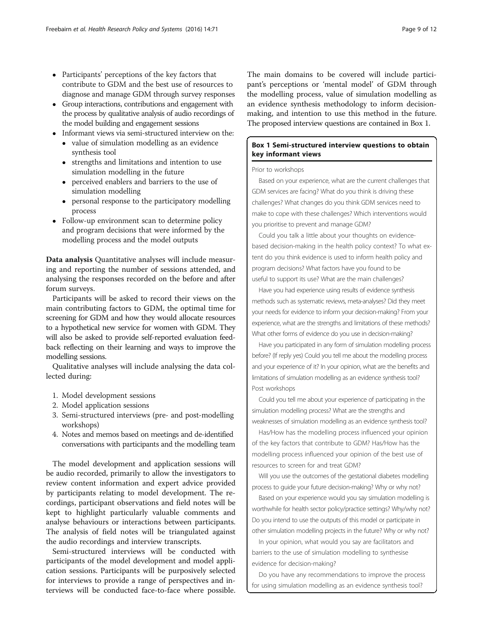- Participants' perceptions of the key factors that contribute to GDM and the best use of resources to diagnose and manage GDM through survey responses
- Group interactions, contributions and engagement with the process by qualitative analysis of audio recordings of the model building and engagement sessions
- Informant views via semi-structured interview on the:
	- value of simulation modelling as an evidence synthesis tool
	- strengths and limitations and intention to use simulation modelling in the future
	- perceived enablers and barriers to the use of simulation modelling
	- personal response to the participatory modelling process
- Follow-up environment scan to determine policy and program decisions that were informed by the modelling process and the model outputs

Data analysis Quantitative analyses will include measuring and reporting the number of sessions attended, and analysing the responses recorded on the before and after forum surveys.

Participants will be asked to record their views on the main contributing factors to GDM, the optimal time for screening for GDM and how they would allocate resources to a hypothetical new service for women with GDM. They will also be asked to provide self-reported evaluation feedback reflecting on their learning and ways to improve the modelling sessions.

Qualitative analyses will include analysing the data collected during:

- 1. Model development sessions
- 2. Model application sessions
- 3. Semi-structured interviews (pre- and post-modelling workshops)
- 4. Notes and memos based on meetings and de-identified conversations with participants and the modelling team

The model development and application sessions will be audio recorded, primarily to allow the investigators to review content information and expert advice provided by participants relating to model development. The recordings, participant observations and field notes will be kept to highlight particularly valuable comments and analyse behaviours or interactions between participants. The analysis of field notes will be triangulated against the audio recordings and interview transcripts.

Semi-structured interviews will be conducted with participants of the model development and model application sessions. Participants will be purposively selected for interviews to provide a range of perspectives and interviews will be conducted face-to-face where possible.

The main domains to be covered will include participant's perceptions or 'mental model' of GDM through the modelling process, value of simulation modelling as an evidence synthesis methodology to inform decisionmaking, and intention to use this method in the future. The proposed interview questions are contained in Box 1.

## Box 1 Semi-structured interview questions to obtain key informant views

## Prior to workshops

Based on your experience, what are the current challenges that GDM services are facing? What do you think is driving these challenges? What changes do you think GDM services need to make to cope with these challenges? Which interventions would you prioritise to prevent and manage GDM?

Could you talk a little about your thoughts on evidencebased decision-making in the health policy context? To what extent do you think evidence is used to inform health policy and program decisions? What factors have you found to be useful to support its use? What are the main challenges?

Have you had experience using results of evidence synthesis methods such as systematic reviews, meta-analyses? Did they meet your needs for evidence to inform your decision-making? From your experience, what are the strengths and limitations of these methods? What other forms of evidence do you use in decision-making?

Have you participated in any form of simulation modelling process before? (If reply yes) Could you tell me about the modelling process and your experience of it? In your opinion, what are the benefits and limitations of simulation modelling as an evidence synthesis tool? Post workshops

Could you tell me about your experience of participating in the simulation modelling process? What are the strengths and weaknesses of simulation modelling as an evidence synthesis tool?

Has/How has the modelling process influenced your opinion of the key factors that contribute to GDM? Has/How has the modelling process influenced your opinion of the best use of resources to screen for and treat GDM?

Will you use the outcomes of the gestational diabetes modelling process to guide your future decision-making? Why or why not?

Based on your experience would you say simulation modelling is worthwhile for health sector policy/practice settings? Why/why not? Do you intend to use the outputs of this model or participate in other simulation modelling projects in the future? Why or why not?

In your opinion, what would you say are facilitators and barriers to the use of simulation modelling to synthesise evidence for decision-making?

Do you have any recommendations to improve the process for using simulation modelling as an evidence synthesis tool?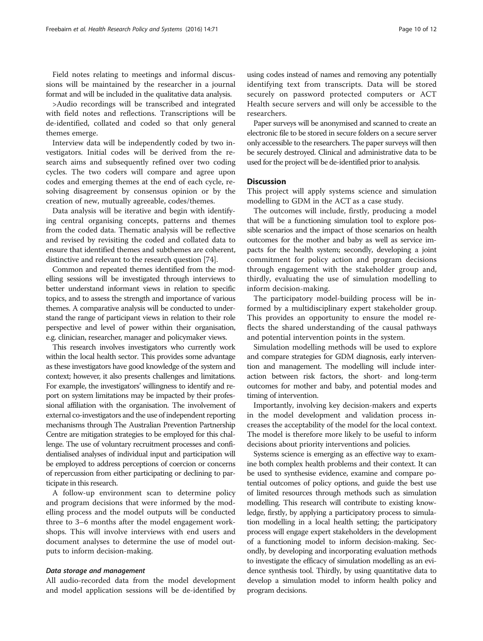Field notes relating to meetings and informal discussions will be maintained by the researcher in a journal format and will be included in the qualitative data analysis.

>Audio recordings will be transcribed and integrated with field notes and reflections. Transcriptions will be de-identified, collated and coded so that only general themes emerge.

Interview data will be independently coded by two investigators. Initial codes will be derived from the research aims and subsequently refined over two coding cycles. The two coders will compare and agree upon codes and emerging themes at the end of each cycle, resolving disagreement by consensus opinion or by the creation of new, mutually agreeable, codes/themes.

Data analysis will be iterative and begin with identifying central organising concepts, patterns and themes from the coded data. Thematic analysis will be reflective and revised by revisiting the coded and collated data to ensure that identified themes and subthemes are coherent, distinctive and relevant to the research question [\[74\]](#page-11-0).

Common and repeated themes identified from the modelling sessions will be investigated through interviews to better understand informant views in relation to specific topics, and to assess the strength and importance of various themes. A comparative analysis will be conducted to understand the range of participant views in relation to their role perspective and level of power within their organisation, e.g. clinician, researcher, manager and policymaker views.

This research involves investigators who currently work within the local health sector. This provides some advantage as these investigators have good knowledge of the system and context; however, it also presents challenges and limitations. For example, the investigators' willingness to identify and report on system limitations may be impacted by their professional affiliation with the organisation. The involvement of external co-investigators and the use of independent reporting mechanisms through The Australian Prevention Partnership Centre are mitigation strategies to be employed for this challenge. The use of voluntary recruitment processes and confidentialised analyses of individual input and participation will be employed to address perceptions of coercion or concerns of repercussion from either participating or declining to participate in this research.

A follow-up environment scan to determine policy and program decisions that were informed by the modelling process and the model outputs will be conducted three to 3–6 months after the model engagement workshops. This will involve interviews with end users and document analyses to determine the use of model outputs to inform decision-making.

## Data storage and management

All audio-recorded data from the model development and model application sessions will be de-identified by

using codes instead of names and removing any potentially identifying text from transcripts. Data will be stored securely on password protected computers or ACT Health secure servers and will only be accessible to the researchers.

Paper surveys will be anonymised and scanned to create an electronic file to be stored in secure folders on a secure server only accessible to the researchers. The paper surveys will then be securely destroyed. Clinical and administrative data to be used for the project will be de-identified prior to analysis.

## **Discussion**

This project will apply systems science and simulation modelling to GDM in the ACT as a case study.

The outcomes will include, firstly, producing a model that will be a functioning simulation tool to explore possible scenarios and the impact of those scenarios on health outcomes for the mother and baby as well as service impacts for the health system; secondly, developing a joint commitment for policy action and program decisions through engagement with the stakeholder group and, thirdly, evaluating the use of simulation modelling to inform decision-making.

The participatory model-building process will be informed by a multidisciplinary expert stakeholder group. This provides an opportunity to ensure the model reflects the shared understanding of the causal pathways and potential intervention points in the system.

Simulation modelling methods will be used to explore and compare strategies for GDM diagnosis, early intervention and management. The modelling will include interaction between risk factors, the short- and long-term outcomes for mother and baby, and potential modes and timing of intervention.

Importantly, involving key decision-makers and experts in the model development and validation process increases the acceptability of the model for the local context. The model is therefore more likely to be useful to inform decisions about priority interventions and policies.

Systems science is emerging as an effective way to examine both complex health problems and their context. It can be used to synthesise evidence, examine and compare potential outcomes of policy options, and guide the best use of limited resources through methods such as simulation modelling. This research will contribute to existing knowledge, firstly, by applying a participatory process to simulation modelling in a local health setting; the participatory process will engage expert stakeholders in the development of a functioning model to inform decision-making. Secondly, by developing and incorporating evaluation methods to investigate the efficacy of simulation modelling as an evidence synthesis tool. Thirdly, by using quantitative data to develop a simulation model to inform health policy and program decisions.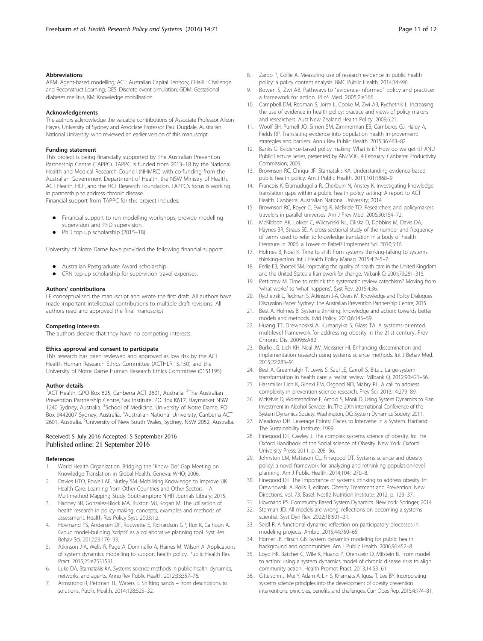## <span id="page-10-0"></span>Abbreviations

ABM: Agent-based modelling; ACT: Australian Capital Territory; CHaRL: Challenge and Reconstruct Learning; DES: Discrete event simulation; GDM: Gestational diabetes mellitus; KM: Knowledge mobilisation

#### Acknowledgements

The authors acknowledge the valuable contributions of Associate Professor Alison Hayes, University of Sydney and Associate Professor Paul Dugdale, Australian National University, who reviewed an earlier version of this manuscript.

#### Funding statement

This project is being financially supported by The Australian Prevention Partnership Centre (TAPPC). TAPPC is funded from 2013–18 by the National Health and Medical Research Council (NHMRC) with co-funding from the Australian Government Department of Health, the NSW Ministry of Health, ACT Health, HCF, and the HCF Research Foundation. TAPPC's focus is working in partnership to address chronic disease.

Financial support from TAPPC for this project includes:

- Financial support to run modelling workshops, provide modelling supervision and PhD supervision.
- PhD top up scholarship (2015-18).

University of Notre Dame have provided the following financial support:

- Australian Postgraduate Award scholarship.
- CRN top-up scholarship for supervision travel expenses.

#### Authors' contributions

LF conceptualised the manuscript and wrote the first draft. All authors have made important intellectual contributions to multiple draft revisions. All authors read and approved the final manuscript.

#### Competing interests

The authors declare that they have no competing interests.

#### Ethics approval and consent to participate

This research has been reviewed and approved as low risk by the ACT Health Human Research Ethics Committee (ACTHLR.15.150) and the University of Notre Dame Human Research Ethics Committee (0151195).

#### Author details

<sup>1</sup>ACT Health, GPO Box 825, Canberra ACT 2601, Australia. <sup>2</sup>The Australian Prevention Partnership Centre, Sax Institute, PO Box K617, Haymarket NSW 1240 Sydney, Australia. <sup>3</sup>School of Medicine, University of Notre Dame, PO Box 9442007 Sydney, Australia. <sup>4</sup>Australian National University, Canberra ACT 2601, Australia. <sup>5</sup>University of New South Wales, Sydney, NSW 2052, Australia.

#### Received: 5 July 2016 Accepted: 5 September 2016 Published online: 21 September 2016

#### References

- 1. World Health Organization. Bridging the "Know–Do" Gap Meeting on Knowledge Translation in Global Health. Geneva: WHO; 2006.
- Davies HTO, Powell AE, Nutley SM. Mobilising Knowledge to Improve UK Health Care: Learning from Other Countries and Other Sectors – A Multimethod Mapping Study. Southampton: NIHR Journals Library; 2015.
- 3. Hanney SR, Gonzalez-Block MA, Buxton MJ, Kogan M. The utilisation of health research in policy-making: concepts, examples and methods of assessment. Health Res Policy Syst. 2003;1:2.
- 4. Hovmand PS, Andersen DF, Rouwette E, Richardson GP, Rux K, Calhoun A. Group model‐building 'scripts' as a collaborative planning tool. Syst Res Behav Sci. 2012;29:179–93.
- 5. Atkinson J-A, Wells R, Page A, Dominello A, Haines M, Wilson A. Applications of system dynamics modelling to support health policy. Public Health Res Pract. 2015;25:e2531531.
- 6. Luke DA, Stamatakis KA. Systems science methods in public health: dynamics, networks, and agents. Annu Rev Public Health. 2012;33:357–76.
- 7. Armstrong R, Pettman TL, Waters E. Shifting sands from descriptions to solutions. Public Health. 2014;128:525–32.
- 8. Zardo P, Collie A. Measuring use of research evidence in public health policy: a policy content analysis. BMC Public Health. 2014;14:496.
- 9. Bowen S, Zwi AB. Pathways to "evidence-informed" policy and practice: a framework for action. PLoS Med. 2005;2:e166.
- 10. Campbell DM, Redman S, Jorm L, Cooke M, Zwi AB, Rychetnik L. Increasing the use of evidence in health policy: practice and views of policy makers and researchers. Aust New Zealand Health Policy. 2009;6:21.
- 11. Woolf SH, Purnell JQ, Simon SM, Zimmerman EB, Camberos GJ, Haley A, Fields RP. Translating evidence into population health improvement: strategies and barriers. Annu Rev Public Health. 2015;36:463–82.
- 12. Banks G. Evidence-based policy making: What is it? How do we get it? ANU Public Lecture Series, presented by ANZSOG, 4 February. Canberra: Productivity Commission; 2009.
- 13. Brownson RC, Chriqui JF, Stamatakis KA. Understanding evidence-based public health policy. Am J Public Health. 2011;101:1868–9.
- 14. Francois K, Eramudugolla R, Cherbuin N, Anstey K. Investigating knowledge translation gaps within a public health policy setting: A report to ACT Health. Canberra: Australian National University; 2014.
- 15. Brownson RC, Royer C, Ewing R, McBride TD. Researchers and policymakers: travelers in parallel universes. Am J Prev Med. 2006;30:164–72.
- 16. McKibbon AK, Lokker C, Wilczynski NL, Ciliska D, Dobbins M, Davis DA, Haynes BR, Straus SE. A cross-sectional study of the number and frequency of terms used to refer to knowledge translation in a body of health literature in 2006: a Tower of Babel? Implement Sci. 2010;5:16.
- 17. Holmes B, Noel K. Time to shift from systems thinking-talking to systems thinking-action. Int J Health Policy Manag. 2015;4:245–7.
- 18. Ferlie EB, Shortell SM. Improving the quality of health care in the United Kingdom and the United States: a framework for change. Milbank Q. 2001;79:281–315.
- 19. Petticrew M. Time to rethink the systematic review catechism? Moving from 'what works' to 'what happens'. Syst Rev. 2015;4:36.
- 20. Rychetnik L, Redman S, Atkinson J-A, Overs M. Knowledge and Policy Dialogues Discussion Paper. Sydney: The Australian Prevention Partnership Centre; 2015.
- 21. Best A, Holmes B. Systems thinking, knowledge and action: towards better models and methods. Evid Policy. 2010;6:145–59.
- 22. Huang TT, Drewnosksi A, Kumanyika S, Glass TA. A systems-oriented multilevel framework for addressing obesity in the 21st century. Prev Chronic Dis. 2009;6:A82.
- 23. Burke JG, Lich KH, Neal JW, Meissner HI. Enhancing dissemination and implementation research using systems science methods. Int J Behav Med. 2015;22:283–91.
- 24. Best A, Greenhalgh T, Lewis S, Saul JE, Carroll S, Bitz J. Large-system transformation in health care: a realist review. Milbank Q. 2012;90:421–56.
- 25. Hassmiller Lich K, Ginexi EM, Osgood ND, Mabry PL. A call to address complexity in prevention science research. Prev Sci. 2013;14:279–89.
- 26. McKelvie D, Wolstenholme E, Arnold S, Monk D. Using System Dynamics to Plan Investment in Alcohol Services. In: The 29th International Conference of the System Dynamics Society. Washington, DC: System Dynamics Society; 2011.
- 27. Meadows DH. Leverage Points: Places to Intervene in a System. Hartland: The Sustainability Institute; 1999.
- 28. Finegood DT, Cawley J. The complex systems science of obesity. In: The Oxford Handbook of the Social science of Obesity. New York: Oxford University Press; 2011. p. 208–36.
- 29. Johnston LM, Matteson CL, Finegood DT. Systems science and obesity policy: a novel framework for analyzing and rethinking population-level planning. Am J Public Health. 2014;104:1270–8.
- 30. Finegood DT. The importance of systems thinking to address obesity. In: Drewnowski A, Rolls B, editors. Obesity Treatment and Prevention: New Directions, vol. 73. Basel: Nestlé Nutrition Institute; 2012. p. 123–37.
- 31. Hovmand PS. Community Based System Dynamics. New York: Springer; 2014.
- 32. Sterman JD. All models are wrong: reflections on becoming a systems scientist. Syst Dyn Rev. 2002;18:501–31.
- 33. Seidl R. A functional-dynamic reflection on participatory processes in modeling projects. Ambio. 2015;44:750–65.
- 34. Homer JB, Hirsch GB. System dynamics modeling for public health: background and opportunities. Am J Public Health. 2006;96:452–8.
- 35. Loyo HK, Batcher C, Wile K, Huang P, Orenstein D, Milstein B. From model to action: using a system dynamics model of chronic disease risks to align community action. Health Promot Pract. 2013;14:53–61.
- 36. Gittelsohn J, Mui Y, Adam A, Lin S, Kharmats A, Igusa T, Lee BY. Incorporating systems science principles into the development of obesity prevention interventions: principles, benefits, and challenges. Curr Obes Rep. 2015;4:174–81.